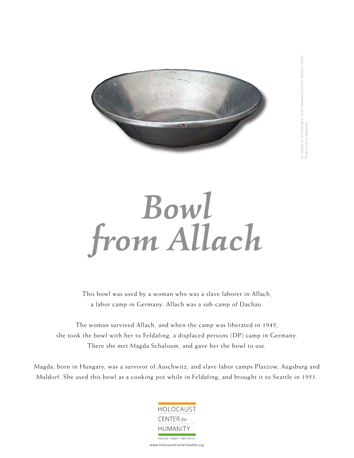

## *Bowl from Allach*

This bowl was used by a woman who was a slave laborer in Allach, a labor camp in Germany. Allach was a sub-camp of Dachau.

The woman survived Allach, and when the camp was liberated in 1945, she took the bowl with her to Feldafing, a displaced persons (DP) camp in Germany. There she met Magda Schaloum, and gave her the bowl to use.

Magda, born in Hungary, was a survivor of Auschwitz, and slave labor camps Plaszow, Augsburg and